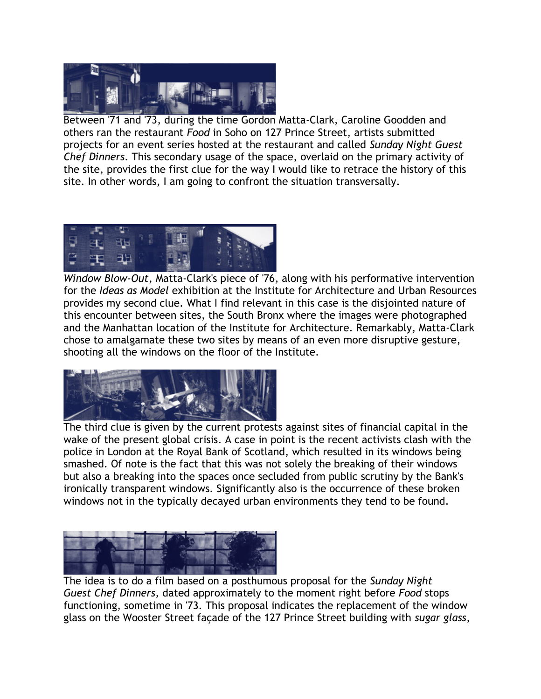

Between '71 and '73, during the time Gordon Matta-Clark, Caroline Goodden and others ran the restaurant *Food* in Soho on 127 Prince Street, artists submitted projects for an event series hosted at the restaurant and called *Sunday Night Guest Chef Dinners*. This secondary usage of the space, overlaid on the primary activity of the site, provides the first clue for the way I would like to retrace the history of this site. In other words, I am going to confront the situation transversally.



*Window Blow-Out*, Matta-Clark's piece of '76, along with his performative intervention for the *Ideas as Model* exhibition at the Institute for Architecture and Urban Resources provides my second clue. What I find relevant in this case is the disjointed nature of this encounter between sites, the South Bronx where the images were photographed and the Manhattan location of the Institute for Architecture. Remarkably, Matta-Clark chose to amalgamate these two sites by means of an even more disruptive gesture, shooting all the windows on the floor of the Institute.



The third clue is given by the current protests against sites of financial capital in the wake of the present global crisis. A case in point is the recent activists clash with the police in London at the Royal Bank of Scotland, which resulted in its windows being smashed. Of note is the fact that this was not solely the breaking of their windows but also a breaking into the spaces once secluded from public scrutiny by the Bank's ironically transparent windows. Significantly also is the occurrence of these broken windows not in the typically decayed urban environments they tend to be found.



The idea is to do a film based on a posthumous proposal for the *Sunday Night Guest Chef Dinners,* dated approximately to the moment right before *Food* stops functioning, sometime in '73. This proposal indicates the replacement of the window glass on the Wooster Street façade of the 127 Prince Street building with *sugar glass*,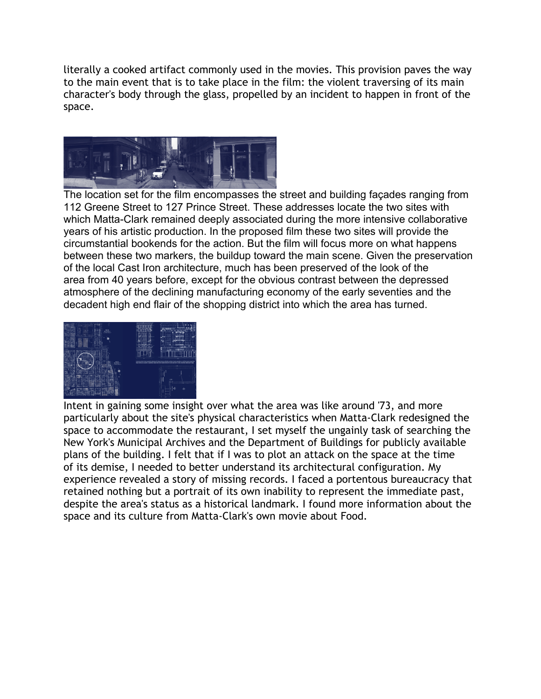literally a cooked artifact commonly used in the movies. This provision paves the way to the main event that is to take place in the film: the violent traversing of its main character's body through the glass, propelled by an incident to happen in front of the space.



The location set for the film encompasses the street and building façades ranging from 112 Greene Street to 127 Prince Street. These addresses locate the two sites with which Matta-Clark remained deeply associated during the more intensive collaborative years of his artistic production. In the proposed film these two sites will provide the circumstantial bookends for the action. But the film will focus more on what happens between these two markers, the buildup toward the main scene. Given the preservation of the local Cast Iron architecture, much has been preserved of the look of the area from 40 years before, except for the obvious contrast between the depressed atmosphere of the declining manufacturing economy of the early seventies and the decadent high end flair of the shopping district into which the area has turned.



Intent in gaining some insight over what the area was like around '73, and more particularly about the site's physical characteristics when Matta-Clark redesigned the space to accommodate the restaurant, I set myself the ungainly task of searching the New York's Municipal Archives and the Department of Buildings for publicly available plans of the building. I felt that if I was to plot an attack on the space at the time of its demise, I needed to better understand its architectural configuration. My experience revealed a story of missing records. I faced a portentous bureaucracy that retained nothing but a portrait of its own inability to represent the immediate past, despite the area's status as a historical landmark. I found more information about the space and its culture from Matta-Clark's own movie about Food.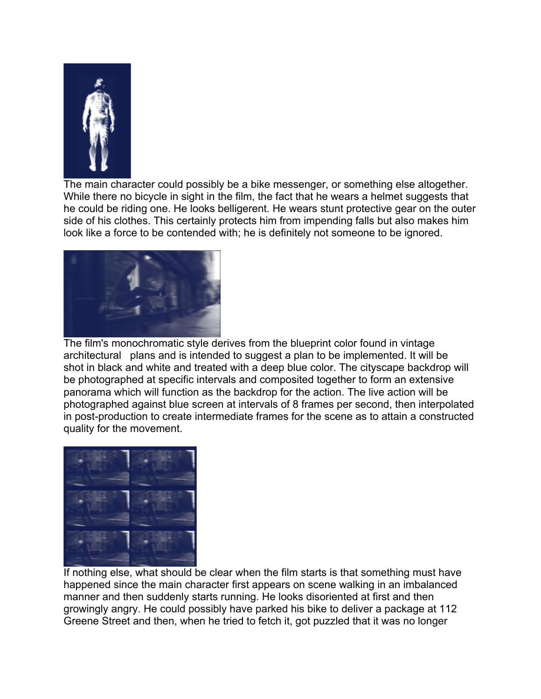

The main character could possibly be a bike messenger, or something else altogether. While there no bicycle in sight in the film, the fact that he wears a helmet suggests that he could be riding one. He looks belligerent. He wears stunt protective gear on the outer side of his clothes. This certainly protects him from impending falls but also makes him look like a force to be contended with; he is definitely not someone to be ignored.



The film's monochromatic style derives from the blueprint color found in vintage architectural plans and is intended to suggest a plan to be implemented. It will be shot in black and white and treated with a deep blue color. The cityscape backdrop will be photographed at specific intervals and composited together to form an extensive panorama which will function as the backdrop for the action. The live action will be photographed against blue screen at intervals of 8 frames per second, then interpolated in post-production to create intermediate frames for the scene as to attain a constructed quality for the movement.



If nothing else, what should be clear when the film starts is that something must have happened since the main character first appears on scene walking in an imbalanced manner and then suddenly starts running. He looks disoriented at first and then growingly angry. He could possibly have parked his bike to deliver a package at 112 Greene Street and then, when he tried to fetch it, got puzzled that it was no longer